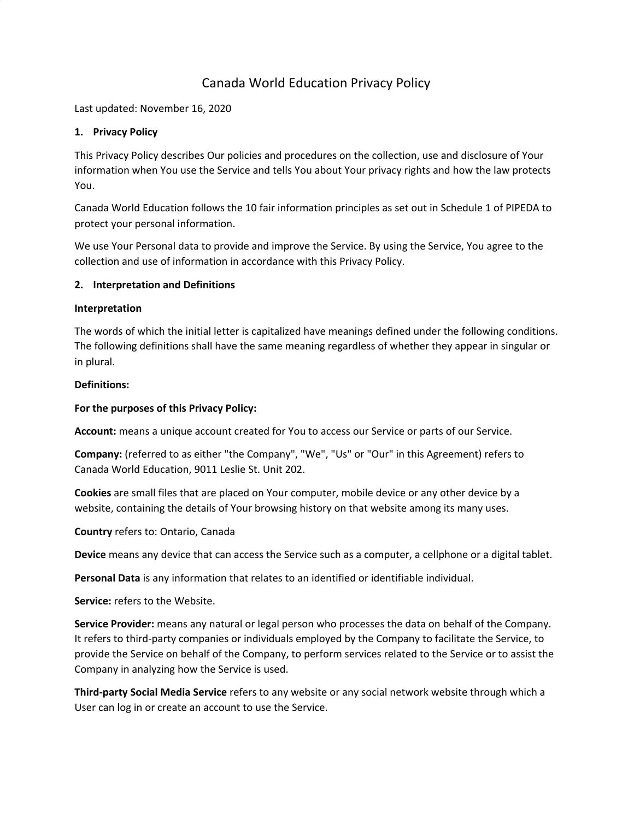# Canada World Education Privacy Policy

Last updated: November 16, 2020

### **1. Privacy Policy**

This Privacy Policy describes Our policies and procedures on the collection, use and disclosure of Your information when You use the Service and tells You about Your privacy rights and how the law protects You.

Canada World Education follows the 10 fair information principles as set out in Schedule 1 of PIPEDA to protect your personal information.

We use Your Personal data to provide and improve the Service. By using the Service, You agree to the collection and use of information in accordance with this Privacy Policy.

### **2. Interpretation and Definitions**

### **Interpretation**

The words of which the initial letter is capitalized have meanings defined under the following conditions. The following definitions shall have the same meaning regardless of whether they appear in singular or in plural.

### **Definitions:**

### **For the purposes of this Privacy Policy:**

Account: means a unique account created for You to access our Service or parts of our Service.

**Company:** (referred to as either "the Company", "We", "Us" or "Our" in this Agreement) refers to Canada World Education, 9011 Leslie St. Unit 202.

**Cookies** are small files that are placed on Your computer, mobile device or any other device by a website, containing the details of Your browsing history on that website among its many uses.

**Country** refers to: Ontario, Canada

**Device** means any device that can access the Service such as a computer, a cellphone or a digital tablet.

**Personal Data** is any information that relates to an identified or identifiable individual.

**Service:** refers to the Website.

**Service Provider:** means any natural or legal person who processes the data on behalf of the Company. It refers to third-party companies or individuals employed by the Company to facilitate the Service, to provide the Service on behalf of the Company, to perform services related to the Service or to assist the Company in analyzing how the Service is used.

**Third-party Social Media Service** refers to any website or any social network website through which a User can log in or create an account to use the Service.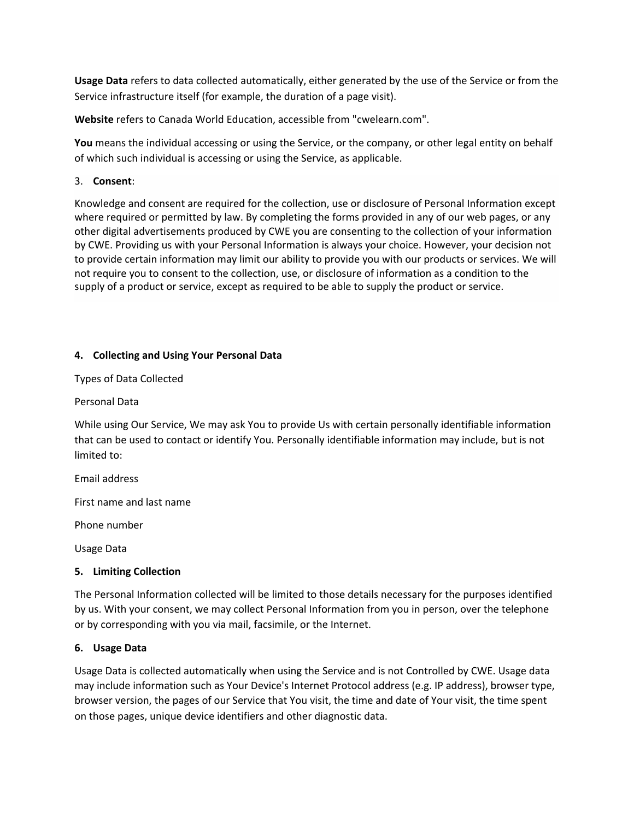**Usage Data** refers to data collected automatically, either generated by the use of the Service or from the Service infrastructure itself (for example, the duration of a page visit).

**Website** refers to Canada World Education, accessible from "cwelearn.com".

You means the individual accessing or using the Service, or the company, or other legal entity on behalf of which such individual is accessing or using the Service, as applicable.

3. **Consent**:

Knowledge and consent are required for the collection, use or disclosure of Personal Information except where required or permitted by law. By completing the forms provided in any of our web pages, or any other digital advertisements produced by CWE you are consenting to the collection of your information by CWE. Providing us with your Personal Information is always your choice. However, your decision not to provide certain information may limit our ability to provide you with our products or services. We will not require you to consent to the collection, use, or disclosure of information as a condition to the supply of a product or service, except as required to be able to supply the product or service.

# **4. Collecting and Using Your Personal Data**

Types of Data Collected

Personal Data

While using Our Service, We may ask You to provide Us with certain personally identifiable information that can be used to contact or identify You. Personally identifiable information may include, but is not limited to:

Email address

First name and last name

Phone number

Usage Data

### **5. Limiting Collection**

The Personal Information collected will be limited to those details necessary for the purposes identified by us. With your consent, we may collect Personal Information from you in person, over the telephone or by corresponding with you via mail, facsimile, or the Internet.

### **6. Usage Data**

Usage Data is collected automatically when using the Service and is not Controlled by CWE. Usage data may include information such as Your Device's Internet Protocol address (e.g. IP address), browser type, browser version, the pages of our Service that You visit, the time and date of Your visit, the time spent on those pages, unique device identifiers and other diagnostic data.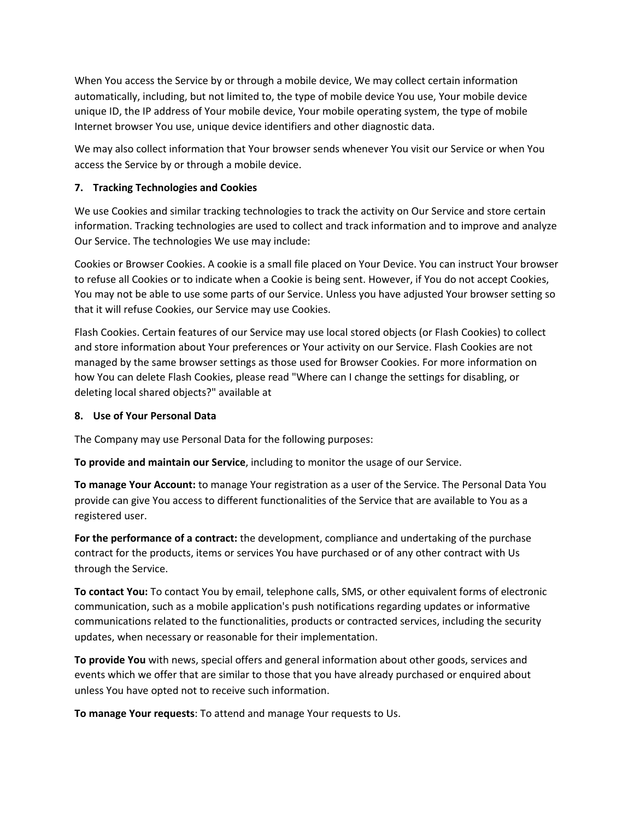When You access the Service by or through a mobile device, We may collect certain information automatically, including, but not limited to, the type of mobile device You use, Your mobile device unique ID, the IP address of Your mobile device, Your mobile operating system, the type of mobile Internet browser You use, unique device identifiers and other diagnostic data.

We may also collect information that Your browser sends whenever You visit our Service or when You access the Service by or through a mobile device.

# **7. Tracking Technologies and Cookies**

We use Cookies and similar tracking technologies to track the activity on Our Service and store certain information. Tracking technologies are used to collect and track information and to improve and analyze Our Service. The technologies We use may include:

Cookies or Browser Cookies. A cookie is a small file placed on Your Device. You can instruct Your browser to refuse all Cookies or to indicate when a Cookie is being sent. However, if You do not accept Cookies, You may not be able to use some parts of our Service. Unless you have adjusted Your browser setting so that it will refuse Cookies, our Service may use Cookies.

Flash Cookies. Certain features of our Service may use local stored objects (or Flash Cookies) to collect and store information about Your preferences or Your activity on our Service. Flash Cookies are not managed by the same browser settings as those used for Browser Cookies. For more information on how You can delete Flash Cookies, please read "Where can I change the settings for disabling, or deleting local shared objects?" available at

# **8. Use of Your Personal Data**

The Company may use Personal Data for the following purposes:

**To provide and maintain our Service**, including to monitor the usage of our Service.

**To manage Your Account:** to manage Your registration as a user of the Service. The Personal Data You provide can give You access to different functionalities of the Service that are available to You as a registered user.

**For the performance of a contract:** the development, compliance and undertaking of the purchase contract for the products, items or services You have purchased or of any other contract with Us through the Service.

**To contact You:** To contact You by email, telephone calls, SMS, or other equivalent forms of electronic communication, such as a mobile application's push notifications regarding updates or informative communications related to the functionalities, products or contracted services, including the security updates, when necessary or reasonable for their implementation.

**To provide You** with news, special offers and general information about other goods, services and events which we offer that are similar to those that you have already purchased or enquired about unless You have opted not to receive such information.

**To manage Your requests**: To attend and manage Your requests to Us.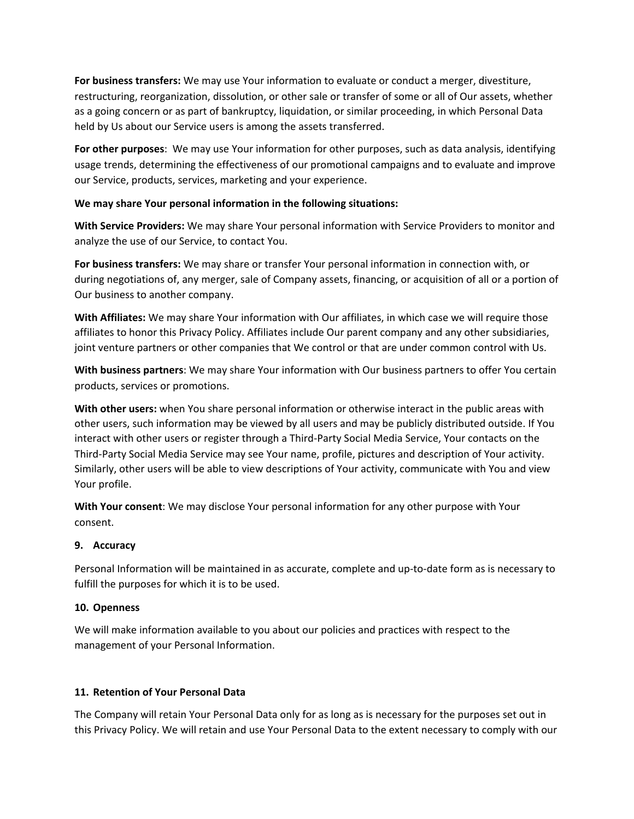**For business transfers:** We may use Your information to evaluate or conduct a merger, divestiture, restructuring, reorganization, dissolution, or other sale or transfer of some or all of Our assets, whether as a going concern or as part of bankruptcy, liquidation, or similar proceeding, in which Personal Data held by Us about our Service users is among the assets transferred.

**For other purposes**: We may use Your information for other purposes, such as data analysis, identifying usage trends, determining the effectiveness of our promotional campaigns and to evaluate and improve our Service, products, services, marketing and your experience.

### **We may share Your personal information in the following situations:**

**With Service Providers:** We may share Your personal information with Service Providers to monitor and analyze the use of our Service, to contact You.

**For business transfers:** We may share or transfer Your personal information in connection with, or during negotiations of, any merger, sale of Company assets, financing, or acquisition of all or a portion of Our business to another company.

**With Affiliates:** We may share Your information with Our affiliates, in which case we will require those affiliates to honor this Privacy Policy. Affiliates include Our parent company and any other subsidiaries, joint venture partners or other companies that We control or that are under common control with Us.

**With business partners**: We may share Your information with Our business partners to offer You certain products, services or promotions.

**With other users:** when You share personal information or otherwise interact in the public areas with other users, such information may be viewed by all users and may be publicly distributed outside. If You interact with other users or register through a Third-Party Social Media Service, Your contacts on the Third-Party Social Media Service may see Your name, profile, pictures and description of Your activity. Similarly, other users will be able to view descriptions of Your activity, communicate with You and view Your profile.

**With Your consent**: We may disclose Your personal information for any other purpose with Your consent.

# **9. Accuracy**

Personal Information will be maintained in as accurate, complete and up-to-date form as is necessary to fulfill the purposes for which it is to be used.

# **10. Openness**

We will make information available to you about our policies and practices with respect to the management of your Personal Information.

# **11. Retention of Your Personal Data**

The Company will retain Your Personal Data only for as long as is necessary for the purposes set out in this Privacy Policy. We will retain and use Your Personal Data to the extent necessary to comply with our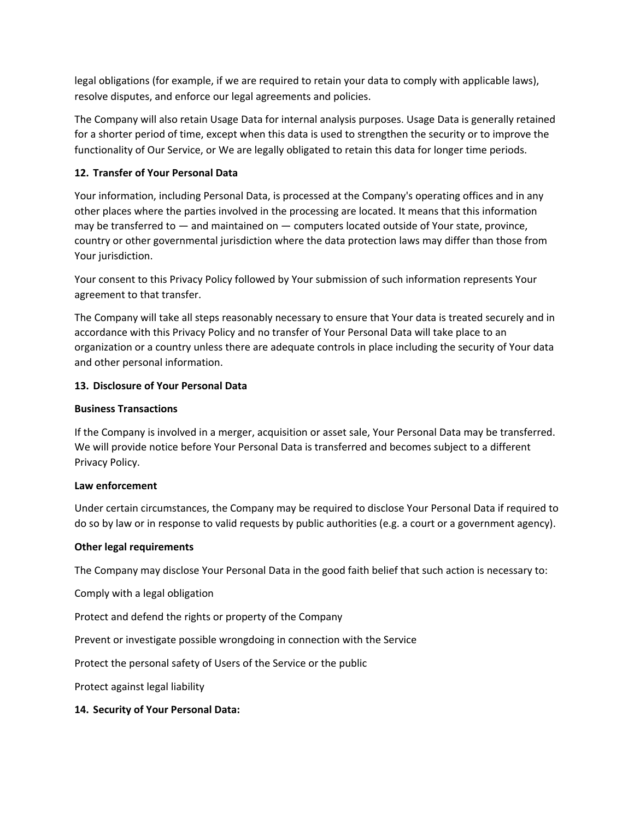legal obligations (for example, if we are required to retain your data to comply with applicable laws), resolve disputes, and enforce our legal agreements and policies.

The Company will also retain Usage Data for internal analysis purposes. Usage Data is generally retained for a shorter period of time, except when this data is used to strengthen the security or to improve the functionality of Our Service, or We are legally obligated to retain this data for longer time periods.

### **12. Transfer of Your Personal Data**

Your information, including Personal Data, is processed at the Company's operating offices and in any other places where the parties involved in the processing are located. It means that this information may be transferred to — and maintained on — computers located outside of Your state, province, country or other governmental jurisdiction where the data protection laws may differ than those from Your jurisdiction.

Your consent to this Privacy Policy followed by Your submission of such information represents Your agreement to that transfer.

The Company will take all steps reasonably necessary to ensure that Your data is treated securely and in accordance with this Privacy Policy and no transfer of Your Personal Data will take place to an organization or a country unless there are adequate controls in place including the security of Your data and other personal information.

### **13. Disclosure of Your Personal Data**

### **Business Transactions**

If the Company is involved in a merger, acquisition or asset sale, Your Personal Data may be transferred. We will provide notice before Your Personal Data is transferred and becomes subject to a different Privacy Policy.

### **Law enforcement**

Under certain circumstances, the Company may be required to disclose Your Personal Data if required to do so by law or in response to valid requests by public authorities (e.g. a court or a government agency).

### **Other legal requirements**

The Company may disclose Your Personal Data in the good faith belief that such action is necessary to:

Comply with a legal obligation

Protect and defend the rights or property of the Company

Prevent or investigate possible wrongdoing in connection with the Service

Protect the personal safety of Users of the Service or the public

Protect against legal liability

# **14. Security of Your Personal Data:**